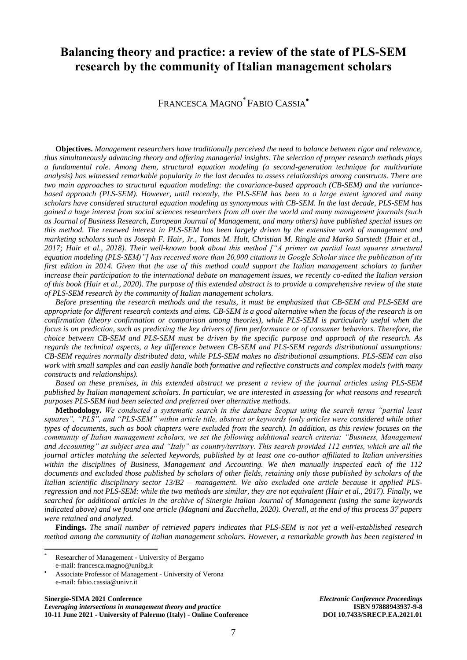## **Balancing theory and practice: a review of the state of PLS-SEM research by the community of Italian management scholars**

FRANCESCA MAGNO\* FABIO CASSIA

**Objectives.** *Management researchers have traditionally perceived the need to balance between rigor and relevance, thus simultaneously advancing theory and offering managerial insights. The selection of proper research methods plays a fundamental role. Among them, structural equation modeling (a second-generation technique for multivariate analysis) has witnessed remarkable popularity in the last decades to assess relationships among constructs. There are two main approaches to structural equation modeling: the covariance-based approach (CB-SEM) and the variancebased approach (PLS-SEM). However, until recently, the PLS-SEM has been to a large extent ignored and many scholars have considered structural equation modeling as synonymous with CB-SEM. In the last decade, PLS-SEM has gained a huge interest from social sciences researchers from all over the world and many management journals (such as Journal of Business Research, European Journal of Management, and many others) have published special issues on this method. The renewed interest in PLS-SEM has been largely driven by the extensive work of management and marketing scholars such as Joseph F. Hair, Jr., Tomas M. Hult, Christian M. Ringle and Marko Sarstedt (Hair et al., 2017; Hair et al., 2018). Their well-known book about this method ["A primer on partial least squares structural equation modeling (PLS-SEM)"] has received more than 20,000 citations in Google Scholar since the publication of its first edition in 2014. Given that the use of this method could support the Italian management scholars to further increase their participation to the international debate on management issues, we recently co-edited the Italian version of this book (Hair et al., 2020). The purpose of this extended abstract is to provide a comprehensive review of the state of PLS-SEM research by the community of Italian management scholars.*

*Before presenting the research methods and the results, it must be emphasized that CB-SEM and PLS-SEM are appropriate for different research contexts and aims. CB-SEM is a good alternative when the focus of the research is on confirmation (theory confirmation or comparison among theories), while PLS-SEM is particularly useful when the focus is on prediction, such as predicting the key drivers of firm performance or of consumer behaviors. Therefore, the choice between CB-SEM and PLS-SEM must be driven by the specific purpose and approach of the research. As regards the technical aspects, a key difference between CB-SEM and PLS-SEM regards distributional assumptions: CB-SEM requires normally distributed data, while PLS-SEM makes no distributional assumptions. PLS-SEM can also work with small samples and can easily handle both formative and reflective constructs and complex models (with many constructs and relationships).*

*Based on these premises, in this extended abstract we present a review of the journal articles using PLS-SEM published by Italian management scholars. In particular, we are interested in assessing for what reasons and research purposes PLS-SEM had been selected and preferred over alternative methods.*

**Methodology.** *We conducted a systematic search in the database Scopus using the search terms "partial least squares", "PLS", and "PLS-SEM" within article title, abstract or keywords (only articles were considered while other types of documents, such as book chapters were excluded from the search). In addition, as this review focuses on the community of Italian management scholars, we set the following additional search criteria: "Business, Management and Accounting" as subject area and "Italy" as country/territory. This search provided 112 entries, which are all the journal articles matching the selected keywords, published by at least one co-author affiliated to Italian universities within the disciplines of Business, Management and Accounting. We then manually inspected each of the 112 documents and excluded those published by scholars of other fields, retaining only those published by scholars of the Italian scientific disciplinary sector 13/B2 – management. We also excluded one article because it applied PLSregression and not PLS-SEM: while the two methods are similar, they are not equivalent (Hair et al., 2017). Finally, we searched for additional articles in the archive of Sinergie Italian Journal of Management (using the same keywords indicated above) and we found one article (Magnani and Zucchella, 2020). Overall, at the end of this process 37 papers were retained and analyzed.* 

**Findings.** *The small number of retrieved papers indicates that PLS-SEM is not yet a well-established research method among the community of Italian management scholars. However, a remarkable growth has been registered in* 

**.** 

**Sinergie-SIMA 2021 Conference** *Electronic Conference Proceedings Leveraging intersections in management theory and practice* **ISBN 97888943937-9-8**<br>10-11 June 2021 - University of Palermo (Italy) - Online Conference **ISBN 97888943937-9-8 10-11 June 2021 - University of Palermo (Italy) - Online Conference** 

Researcher of Management - University of Bergamo e-mail: francesca.magno@unibg.it

Associate Professor of Management - University of Verona e-mail: fabio.cassia@univr.it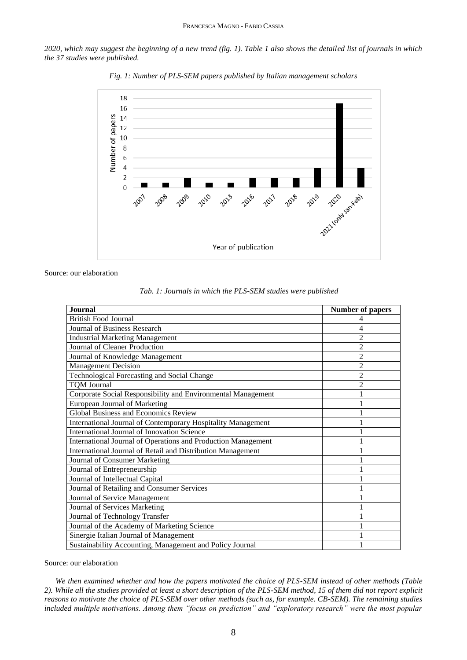*2020, which may suggest the beginning of a new trend (fig. 1). Table 1 also shows the detailed list of journals in which the 37 studies were published.*



*Fig. 1: Number of PLS-SEM papers published by Italian management scholars*

Source: our elaboration

|  |  |  |  |  |  |  |  |  |  | Tab. 1: Journals in which the PLS-SEM studies were published |
|--|--|--|--|--|--|--|--|--|--|--------------------------------------------------------------|
|--|--|--|--|--|--|--|--|--|--|--------------------------------------------------------------|

| Journal                                                       | <b>Number of papers</b> |
|---------------------------------------------------------------|-------------------------|
| <b>British Food Journal</b>                                   |                         |
| Journal of Business Research                                  | 4                       |
| <b>Industrial Marketing Management</b>                        | 2                       |
| Journal of Cleaner Production                                 | 2                       |
| Journal of Knowledge Management                               | 2                       |
| <b>Management Decision</b>                                    | 2                       |
| <b>Technological Forecasting and Social Change</b>            | $\overline{c}$          |
| <b>TQM Journal</b>                                            | $\overline{2}$          |
| Corporate Social Responsibility and Environmental Management  |                         |
| <b>European Journal of Marketing</b>                          |                         |
| <b>Global Business and Economics Review</b>                   |                         |
| International Journal of Contemporary Hospitality Management  |                         |
| <b>International Journal of Innovation Science</b>            |                         |
| International Journal of Operations and Production Management |                         |
| International Journal of Retail and Distribution Management   |                         |
| Journal of Consumer Marketing                                 |                         |
| Journal of Entrepreneurship                                   |                         |
| Journal of Intellectual Capital                               |                         |
| Journal of Retailing and Consumer Services                    |                         |
| Journal of Service Management                                 |                         |
| Journal of Services Marketing                                 |                         |
| Journal of Technology Transfer                                |                         |
| Journal of the Academy of Marketing Science                   |                         |
| Sinergie Italian Journal of Management                        |                         |
| Sustainability Accounting, Management and Policy Journal      |                         |

Source: our elaboration

*We then examined whether and how the papers motivated the choice of PLS-SEM instead of other methods (Table 2). While all the studies provided at least a short description of the PLS-SEM method, 15 of them did not report explicit reasons to motivate the choice of PLS-SEM over other methods (such as, for example. CB-SEM). The remaining studies included multiple motivations. Among them "focus on prediction" and "exploratory research" were the most popular*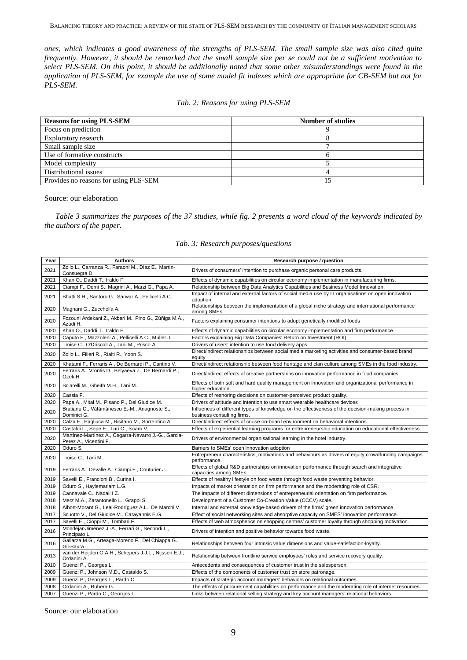*ones, which indicates a good awareness of the strengths of PLS-SEM. The small sample size was also cited quite frequently. However, it should be remarked that the small sample size per se could not be a sufficient motivation to select PLS-SEM. On this point, it should be additionally noted that some other misunderstandings were found in the application of PLS-SEM, for example the use of some model fit indexes which are appropriate for CB-SEM but not for PLS-SEM.*

## *Tab. 2: Reasons for using PLS-SEM*

| <b>Reasons for using PLS-SEM</b>      | <b>Number of studies</b> |
|---------------------------------------|--------------------------|
| Focus on prediction                   |                          |
| Exploratory research                  |                          |
| Small sample size                     |                          |
| Use of formative constructs           |                          |
| Model complexity                      |                          |
| Distributional issues                 |                          |
| Provides no reasons for using PLS-SEM |                          |

Source: our elaboration

*Table 3 summarizes the purposes of the 37 studies, while fig. 2 presents a word cloud of the keywords indicated by the authors of the paper.* 

## *Tab. 3: Research purposes/questions*

| Year | <b>Authors</b>                                                                 | Research purpose / question                                                                                                     |
|------|--------------------------------------------------------------------------------|---------------------------------------------------------------------------------------------------------------------------------|
| 2021 | Zollo L., Carranza R., Faraoni M., Díaz E., Martín-<br>Consuegra D.            | Drivers of consumers' intention to purchase organic personal care products.                                                     |
| 2021 | Khan O., Daddi T., Iraldo F.                                                   | Effects of dynamic capabilities on circular economy implementation in manufacturing firms.                                      |
| 2021 | Ciampi F., Demi S., Magrini A., Marzi G., Papa A.                              | Relationship between Big Data Analytics Capabilities and Business Model Innovation.                                             |
| 2021 | Bhatti S.H., Santoro G., Sarwar A., Pellicelli A.C.                            | Impact of internal and external factors of social media use by IT organisations on open innovation<br>adoption                  |
| 2020 | Magnani G., Zucchella A.                                                       | Relationships between the implementation of a global niche strategy and international performance<br>among SMEs.                |
| 2020 | Fozouni Ardekani Z., Akbari M., Pino G., Zúñiga M.Á.,<br>Azadi H.              | Factors explaining consumer intentions to adopt genetically modified foods                                                      |
| 2020 | Khan O., Daddi T., Iraldo F.                                                   | Effects of dynamic capabilities on circular economy implementation and firm performance.                                        |
| 2020 | Caputo F., Mazzoleni A., Pellicelli A.C., Muller J.                            | Factors explaining Big Data Companies' Return on Investment (ROI)                                                               |
| 2020 | Troise C., O'Driscoll A., Tani M., Prisco A.                                   | Drivers of users' intention to use food delivery apps.                                                                          |
| 2020 | Zollo L., Filieri R., Rialti R., Yoon S.                                       | Direct/indirect relationships between social media marketing activities and consumer-based brand<br>equity                      |
| 2020 | Khatami F., Ferraris A., De Bernardi P., Cantino V.                            | Direct/indirect relationship between food heritage and clan culture among SMEs in the food industry.                            |
| 2020 | Ferraris A., Vrontis D., Belyaeva Z., De Bernardi P.,<br>Ozek H.               | Direct/indirect effects of creative partnerships on innovation performance in food companies.                                   |
| 2020 | Sciarelli M., Gheith M.H., Tani M.                                             | Effects of both soft and hard quality management on innovation and organizational performance in<br>higher education.           |
| 2020 | Cassia F.                                                                      | Effects of reshoring decisions on customer-perceived product quality.                                                           |
| 2020 | Papa A., Mital M., Pisano P., Del Giudice M.                                   | Drivers of attitude and intention to use smart wearable healthcare devices                                                      |
| 2020 | Bratianu C., Vătămănescu E.-M., Anagnoste S.,<br>Dominici G.                   | Influences of different types of knowledge on the effectiveness of the decision-making process in<br>business consulting firms. |
| 2020 | Calza F., Pagliuca M., Risitano M., Sorrentino A.                              | Direct/indirect effects of cruise on-board environment on behavioral intentions.                                                |
| 2020 | Castaldi L., Sepe E., Turi C., Iscaro V.                                       | Effects of experiential learning programs for entrepreneurship education on educational effectiveness.                          |
| 2020 | Martínez-Martínez A., Cegarra-Navarro J.-G., Garcia-<br>Perez A., Vicentini F. | Drivers of environmental organisational learning in the hotel industry.                                                         |
| 2020 | Oduro S.                                                                       | Barriers to SMEs' open innovation adoption                                                                                      |
| 2020 | Troise C., Tani M.                                                             | Entrepreneur characteristics, motivations and behaviours as drivers of equity crowdfunding campaigns<br>performance.            |
| 2019 | Ferraris A., Devalle A., Ciampi F., Couturier J.                               | Effects of global R&D partnerships on innovation performance through search and integrative<br>capacities among SMEs.           |
| 2019 | Savelli E., Francioni B., Curina I.                                            | Effects of healthy lifestyle on food waste through food waste preventing behavior.                                              |
| 2019 | Oduro S., Haylemariam L.G.                                                     | Impacts of market orientation on firm performance and the moderating role of CSR.                                               |
| 2019 | Cannavale C., Nadali I.Z.                                                      | The impacts of different dimensions of entrepreneurial orientation on firm performance.                                         |
| 2018 | Merz M.A., Zarantonello L., Grappi S.                                          | Development of a Customer Co-Creation Value (CCCV) scale.                                                                       |
| 2018 | Albort-Morant G., Leal-Rodríguez A.L., De Marchi V.                            | Internal and external knowledge-based drivers of the firms' green innovation performance.                                       |
| 2017 | Scuotto V., Del Giudice M., Carayannis E.G.                                    | Effect of social networking sites and absorptive capacity on SMES' innovation performance.                                      |
| 2017 | Savelli E., Cioppi M., Tombari F.                                              | Effects of web atmospherics on shopping centres' customer loyalty through shopping motivation.                                  |
| 2016 | Mondéjar-Jiménez J.-A., Ferrari G., Secondi L.,<br>Principato L.               | Drivers of intention and positive behavior towards food waste.                                                                  |
| 2016 | Gallarza M.G., Arteaga-Moreno F., Del Chiappa G.,<br>Gil-Saura I.              | Relationships between four intrinsic value dimensions and value-satisfaction-loyalty.                                           |
| 2013 | van der Heijden G.A.H., Schepers J.J.L., Nijssen E.J.,<br>Ordanini A.          | Relationship between frontline service employees' roles and service recovery quality.                                           |
| 2010 | Guenzi P., Georges L.                                                          | Antecedents and consequences of customer trust in the salesperson.                                                              |
| 2009 | Guenzi P., Johnson M.D., Castaldo S.                                           | Effects of the components of customer trust on store patronage.                                                                 |
| 2009 | Guenzi P., Georges L., Pardo C.                                                | Impacts of strategic account managers' behaviors on relational outcomes.                                                        |
| 2008 | Ordanini A., Rubera G.                                                         | The effects of procurement capabilities on performance and the moderating role of internet resources.                           |
| 2007 | Guenzi P., Pardo C., Georges L.                                                | Links between relational selling strategy and key account managers' relational behaviors.                                       |

Source: our elaboration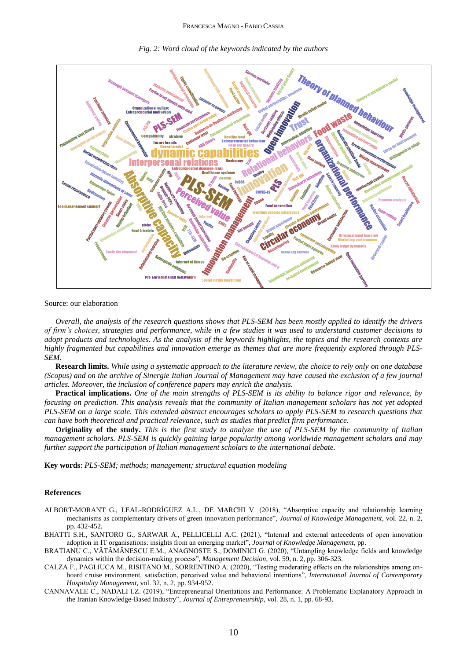

*Fig. 2: Word cloud of the keywords indicated by the authors*

Source: our elaboration

*Overall, the analysis of the research questions shows that PLS-SEM has been mostly applied to identify the drivers of firm's choices, strategies and performance, while in a few studies it was used to understand customer decisions to adopt products and technologies. As the analysis of the keywords highlights, the topics and the research contexts are highly fragmented but capabilities and innovation emerge as themes that are more frequently explored through PLS-SEM.* 

**Research limits.** *While using a systematic approach to the literature review, the choice to rely only on one database (Scopus) and on the archive of Sinergie Italian Journal of Management may have caused the exclusion of a few journal articles. Moreover, the inclusion of conference papers may enrich the analysis.*

**Practical implications.** *One of the main strengths of PLS-SEM is its ability to balance rigor and relevance, by focusing on prediction. This analysis reveals that the community of Italian management scholars has not yet adopted PLS-SEM on a large scale. This extended abstract encourages scholars to apply PLS-SEM to research questions that can have both theoretical and practical relevance, such as studies that predict firm performance.*

**Originality of the study.** *This is the first study to analyze the use of PLS-SEM by the community of Italian management scholars. PLS-SEM is quickly gaining large popularity among worldwide management scholars and may further support the participation of Italian management scholars to the international debate.*

**Key words**: *PLS-SEM; methods; management; structural equation modeling*

## **References**

- ALBORT-MORANT G., LEAL-RODRÍGUEZ A.L., DE MARCHI V. (2018), "Absorptive capacity and relationship learning mechanisms as complementary drivers of green innovation performance", *Journal of Knowledge Management,* vol. 22, n. 2, pp. 432-452.
- BHATTI S.H., SANTORO G., SARWAR A., PELLICELLI A.C. (2021), "Internal and external antecedents of open innovation adoption in IT organisations: insights from an emerging market", *Journal of Knowledge Management*, pp.
- BRATIANU C., VĂTĂMĂNESCU E.M., ANAGNOSTE S., DOMINICI G. (2020), "Untangling knowledge fields and knowledge dynamics within the decision-making process", *Management Decision,* vol. 59, n. 2, pp. 306-323.
- CALZA F., PAGLIUCA M., RISITANO M., SORRENTINO A. (2020), "Testing moderating effects on the relationships among onboard cruise environment, satisfaction, perceived value and behavioral intentions", *International Journal of Contemporary Hospitality Management,* vol. 32, n. 2, pp. 934-952.
- CANNAVALE C., NADALI I.Z. (2019), "Entrepreneurial Orientations and Performance: A Problematic Explanatory Approach in the Iranian Knowledge-Based Industry", *Journal of Entrepreneurship,* vol. 28, n. 1, pp. 68-93.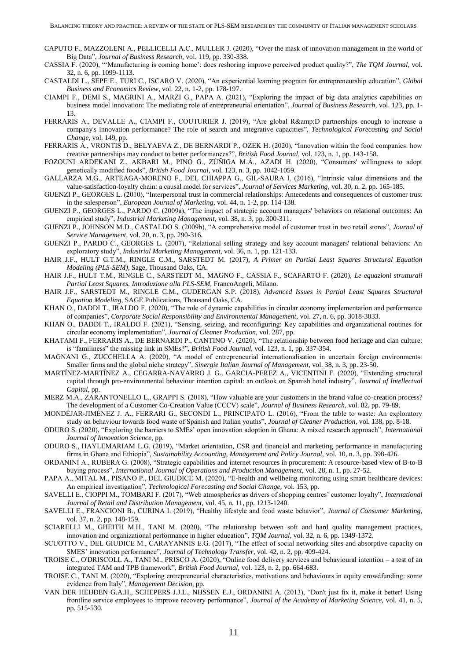- CAPUTO F., MAZZOLENI A., PELLICELLI A.C., MULLER J. (2020), "Over the mask of innovation management in the world of Big Data", *Journal of Business Research,* vol. 119, pp. 330-338.
- CASSIA F. (2020), "'Manufacturing is coming home': does reshoring improve perceived product quality?", *The TQM Journal,* vol. 32, n. 6, pp. 1099-1113.
- CASTALDI L., SEPE E., TURI C., ISCARO V. (2020), "An experiential learning program for entrepreneurship education", *Global Business and Economics Review,* vol. 22, n. 1-2, pp. 178-197.
- CIAMPI F., DEMI S., MAGRINI A., MARZI G., PAPA A. (2021), "Exploring the impact of big data analytics capabilities on business model innovation: The mediating role of entrepreneurial orientation", *Journal of Business Research,* vol. 123, pp. 1- 13.
- FERRARIS A., DEVALLE A., CIAMPI F., COUTURIER J. (2019), "Are global R&D partnerships enough to increase a company's innovation performance? The role of search and integrative capacities", *Technological Forecasting and Social Change,* vol. 149, pp.
- FERRARIS A., VRONTIS D., BELYAEVA Z., DE BERNARDI P., OZEK H. (2020), "Innovation within the food companies: how creative partnerships may conduct to better performances?", *British Food Journal,* vol. 123, n. 1, pp. 143-158.
- FOZOUNI ARDEKANI Z., AKBARI M., PINO G., ZÚÑIGA M.Á., AZADI H. (2020), "Consumers' willingness to adopt genetically modified foods", *British Food Journal,* vol. 123, n. 3, pp. 1042-1059.
- GALLARZA M.G., ARTEAGA-MORENO F., DEL CHIAPPA G., GIL-SAURA I. (2016), "Intrinsic value dimensions and the value-satisfaction-loyalty chain: a causal model for services", *Journal of Services Marketing,* vol. 30, n. 2, pp. 165-185.
- GUENZI P., GEORGES L. (2010), "Interpersonal trust in commercial relationships: Antecedents and consequences of customer trust in the salesperson", *European Journal of Marketing,* vol. 44, n. 1-2, pp. 114-138.
- GUENZI P., GEORGES L., PARDO C. (2009a), "The impact of strategic account managers' behaviors on relational outcomes: An empirical study", *Industrial Marketing Management,* vol. 38, n. 3, pp. 300-311.
- GUENZI P., JOHNSON M.D., CASTALDO S. (2009b), "A comprehensive model of customer trust in two retail stores", *Journal of Service Management,* vol. 20, n. 3, pp. 290-316.
- GUENZI P., PARDO C., GEORGES L. (2007), "Relational selling strategy and key account managers' relational behaviors: An exploratory study", *Industrial Marketing Management,* vol. 36, n. 1, pp. 121-133.
- HAIR J.F., HULT G.T.M., RINGLE C.M., SARSTEDT M. (2017), *A Primer on Partial Least Squares Structural Equation Modeling (PLS-SEM),* Sage, Thousand Oaks, CA.
- HAIR J.F., HULT T.M., RINGLE C., SARSTEDT M., MAGNO F., CASSIA F., SCAFARTO F. (2020), *Le equazioni strutturali Partial Least Squares. Introduzione alla PLS-SEM,* FrancoAngeli, Milano.
- HAIR J.F., SARSTEDT M., RINGLE C.M., GUDERGAN S.P. (2018), *Advanced Issues in Partial Least Squares Structural Equation Modeling,* SAGE Publications, Thousand Oaks, CA.
- KHAN O., DADDI T., IRALDO F. (2020), "The role of dynamic capabilities in circular economy implementation and performance of companies", *Corporate Social Responsibility and Environmental Management,* vol. 27, n. 6, pp. 3018-3033.
- KHAN O., DADDI T., IRALDO F. (2021), "Sensing, seizing, and reconfiguring: Key capabilities and organizational routines for circular economy implementation", *Journal of Cleaner Production,* vol. 287, pp.
- KHATAMI F., FERRARIS A., DE BERNARDI P., CANTINO V. (2020), "The relationship between food heritage and clan culture: is "familiness" the missing link in SMEs?", *British Food Journal,* vol. 123, n. 1, pp. 337-354.
- MAGNANI G., ZUCCHELLA A. (2020), "A model of entrepreneurial internationalisation in uncertain foreign environments: Smaller firms and the global niche strategy", *Sinergie Italian Journal of Management,* vol. 38, n. 3, pp. 23-50.
- MARTÍNEZ-MARTÍNEZ A., CEGARRA-NAVARRO J. G., GARCIA-PEREZ A., VICENTINI F. (2020), "Extending structural capital through pro-environmental behaviour intention capital: an outlook on Spanish hotel industry", *Journal of Intellectual Capital*, pp.
- MERZ M.A., ZARANTONELLO L., GRAPPI S. (2018), "How valuable are your customers in the brand value co-creation process? The development of a Customer Co-Creation Value (CCCV) scale", *Journal of Business Research,* vol. 82, pp. 79-89.
- MONDÉJAR-JIMÉNEZ J. A., FERRARI G., SECONDI L., PRINCIPATO L. (2016), "From the table to waste: An exploratory study on behaviour towards food waste of Spanish and Italian youths", *Journal of Cleaner Production,* vol. 138, pp. 8-18.
- ODURO S. (2020), "Exploring the barriers to SMEs' open innovation adoption in Ghana: A mixed research approach", *International Journal of Innovation Science*, pp.
- ODURO S., HAYLEMARIAM L.G. (2019), "Market orientation, CSR and financial and marketing performance in manufacturing firms in Ghana and Ethiopia", *Sustainability Accounting, Management and Policy Journal,* vol. 10, n. 3, pp. 398-426.
- ORDANINI A., RUBERA G. (2008), "Strategic capabilities and internet resources in procurement: A resource-based view of B-to-B buying process", *International Journal of Operations and Production Management,* vol. 28, n. 1, pp. 27-52.
- PAPA A., MITAL M., PISANO P., DEL GIUDICE M. (2020), "E-health and wellbeing monitoring using smart healthcare devices: An empirical investigation", *Technological Forecasting and Social Change,* vol. 153, pp.
- SAVELLI E., CIOPPI M., TOMBARI F. (2017), "Web atmospherics as drivers of shopping centres' customer loyalty", *International Journal of Retail and Distribution Management,* vol. 45, n. 11, pp. 1213-1240.
- SAVELLI E., FRANCIONI B., CURINA I. (2019), "Healthy lifestyle and food waste behavior", *Journal of Consumer Marketing,* vol. 37, n. 2, pp. 148-159.
- SCIARELLI M., GHEITH M.H., TANI M. (2020), "The relationship between soft and hard quality management practices, innovation and organizational performance in higher education", *TQM Journal,* vol. 32, n. 6, pp. 1349-1372.
- SCUOTTO V., DEL GIUDICE M., CARAYANNIS E.G. (2017), "The effect of social networking sites and absorptive capacity on SMES' innovation performance", *Journal of Technology Transfer,* vol. 42, n. 2, pp. 409-424.
- TROISE C., O'DRISCOLL A., TANI M., PRISCO A. (2020), "Online food delivery services and behavioural intention a test of an integrated TAM and TPB framework", *British Food Journal,* vol. 123, n. 2, pp. 664-683.
- TROISE C., TANI M. (2020), "Exploring entrepreneurial characteristics, motivations and behaviours in equity crowdfunding: some evidence from Italy", *Management Decision*, pp.
- VAN DER HEIJDEN G.A.H., SCHEPERS J.J.L., NIJSSEN E.J., ORDANINI A. (2013), "Don't just fix it, make it better! Using frontline service employees to improve recovery performance", *Journal of the Academy of Marketing Science,* vol. 41, n. 5, pp. 515-530.